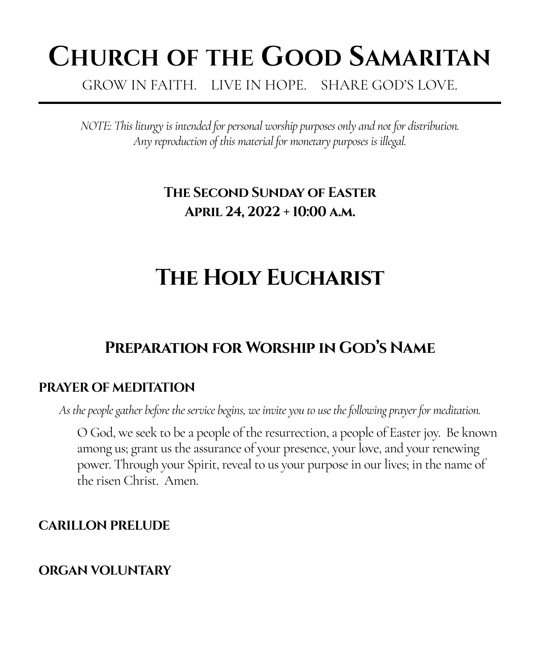# **CHURCH OF THE GOOD SAMARITAN**

GROW IN FAITH. LIVE IN HOPE. SHARE GOD'S LOVE.

*NOTE: This liturgy is intended for personal worship purposes only and not for distribution. Any reproduction of this material for monetary purposes is illegal.*

## **The Second Sunday of Easter April 24, 2022 + 10:00 a.m.**

## **The Holy Eucharist**

## **Preparation for Worship in God's Name**

#### **PRAYER OF MEDITATION**

*As the people gather before the service begins, we invite you to use the following prayer for meditation.*

O God, we seek to be a people of the resurrection, a people of Easter joy. Be known among us; grant us the assurance of your presence, your love, and your renewing power. Through your Spirit, reveal to us your purpose in our lives; in the name of the risen Christ. Amen.

#### **CARILLON PRELUDE**

#### **ORGAN VOLUNTARY**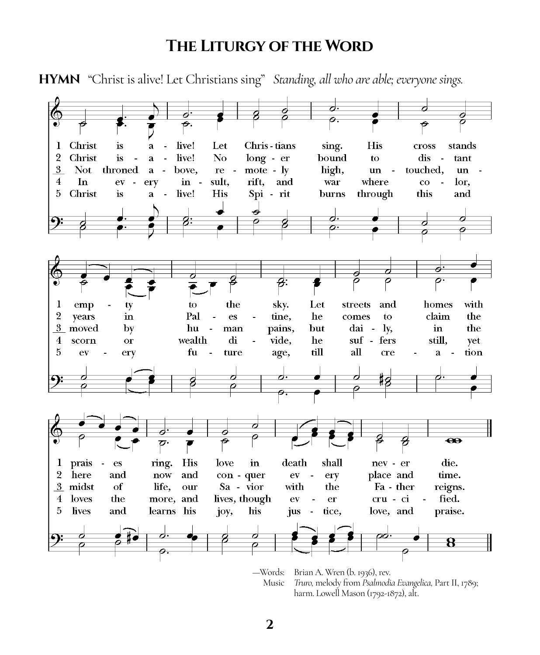#### **The Liturgy of the Word**



harm. Lowell Mason (1792-1872), alt.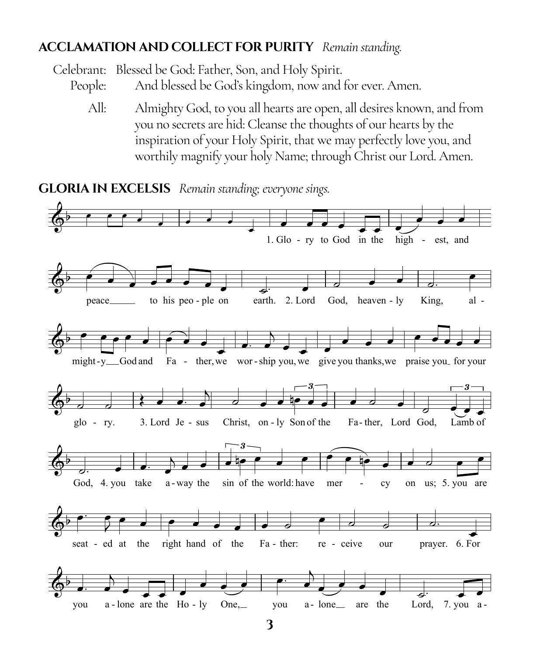#### **ACCLAMATION AND COLLECT FOR PURITY** Remain standing.

Celebrant: Blessed be God: Father, Son, and Holy Spirit. And blessed be God's kingdom, now and for ever. Amen. People:

All: Almighty God, to you all hearts are open, all desires known, and from you no secrets are hid: Cleanse the thoughts of our hearts by the inspiration of your Holy Spirit, that we may perfectly love you, and worthily magnify your holy Name; through Christ our Lord. Amen.

**GLORIA IN EXCELSIS** Remain standing; everyone sings.

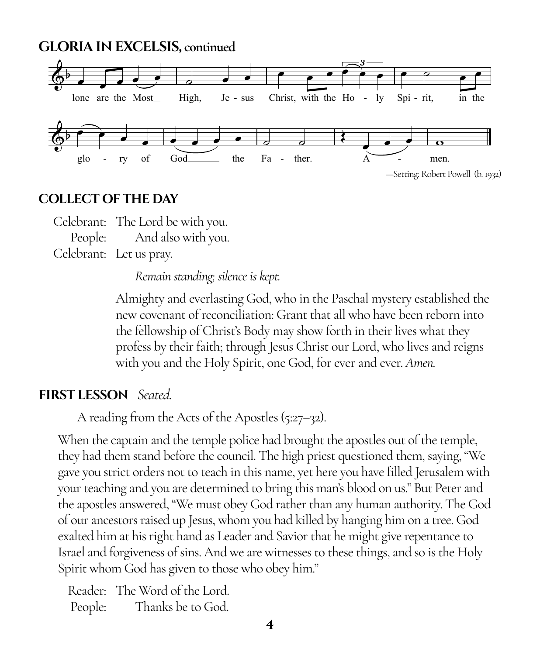**GLORIA IN EXCELSIS, continued**  $y \mapsto \frac{1}{2} \int_{0}^{1} \frac{1}{\sqrt{2}} \, \mathrm{d}x$  ,  $y \mapsto \frac{1}{2} \int_{0}^{1} \frac{1}{\sqrt{2}} \, \mathrm{d}x$  ,  $y \mapsto \frac{1}{2} \int_{0}^{1} \frac{1}{\sqrt{2}} \, \mathrm{d}x$ 



#### **COLLECT OF THE DAY**

Celebrant: The Lord be with you. People: And also with you. Celebrant: Let us pray.

*Remain standing; silence is kept.*

Almighty and everlasting God, who in the Paschal mystery established the new covenant of reconciliation: Grant that all who have been reborn into the fellowship of Christ's Body may show forth in their lives what they profess by their faith; through Jesus Christ our Lord, who lives and reigns with you and the Holy Spirit, one God, for ever and ever. *Amen.*

#### **FIRST LESSON** *Seated.*

A reading from the Acts of the Apostles (5:27–32).

When the captain and the temple police had brought the apostles out of the temple, they had them stand before the council. The high priest questioned them, saying, "We gave you strict orders not to teach in this name, yet here you have filled Jerusalem with your teaching and you are determined to bring this man's blood on us." But Peter and the apostles answered, "We must obey God rather than any human authority. The God of our ancestors raised up Jesus, whom you had killed by hanging him on a tree. God exalted him at his right hand as Leader and Savior that he might give repentance to Israel and forgiveness of sins. And we are witnesses to these things, and so is the Holy Spirit whom God has given to those who obey him."

Reader: The Word of the Lord. People: Thanks be to God.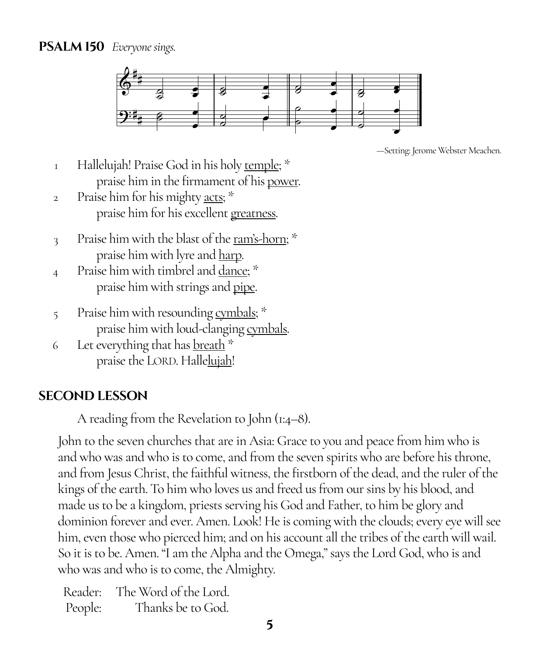#### **PSALM 150** *Everyone sings.*



—Setting: Jerome Webster Meachen.

- <sup>1</sup> Hallelujah! Praise God in his holy <u>temple</u>; \* praise him in the firmament of his power.
- 2 Praise him for his mighty acts; \* praise him for his excellent greatness.
- 3 Praise him with the blast of the <u>ram's-horn;</u>  $*$ praise him with lyre and harp.
- 4 Praise him with timbrel and <u>dance</u>; \* praise him with strings and pipe.
- 5 Praise him with resounding cymbals; \* praise him with loud-clanging cymbals.
- 6 Let everything that has breath \* praise the LORD. Hallelujah!

#### **SECOND LESSON**

A reading from the Revelation to John (1:4–8).

John to the seven churches that are in Asia: Grace to you and peace from him who is and who was and who is to come, and from the seven spirits who are before his throne, and from Jesus Christ, the faithful witness, the firstborn of the dead, and the ruler of the kings of the earth. To him who loves us and freed us from our sins by his blood, and made us to be a kingdom, priests serving his God and Father, to him be glory and dominion forever and ever. Amen. Look! He is coming with the clouds; every eye will see him, even those who pierced him; and on his account all the tribes of the earth will wail. So it is to be. Amen. "I am the Alpha and the Omega," says the Lord God, who is and who was and who is to come, the Almighty.

Reader: The Word of the Lord. People: Thanks be to God.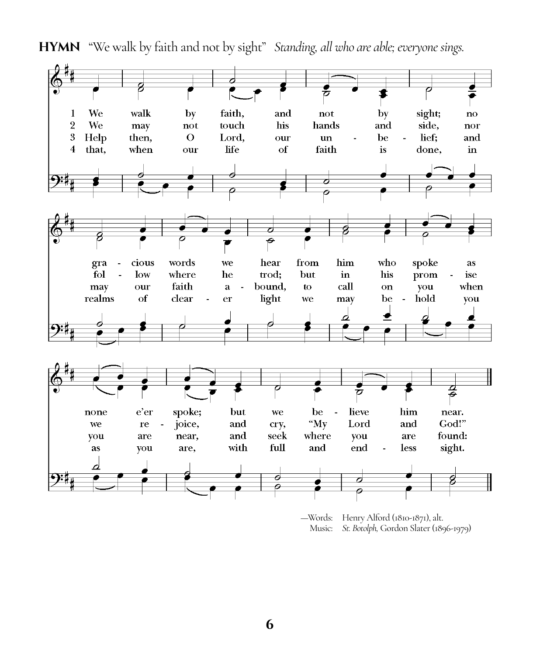

**HYMN** "We walk by faith and not by sight" *Standing, all who are able; everyone sings.*

—Words: Henry Alford (1810-1871), alt. Music: *St. Botolph,* Gordon Slater (1896-1979)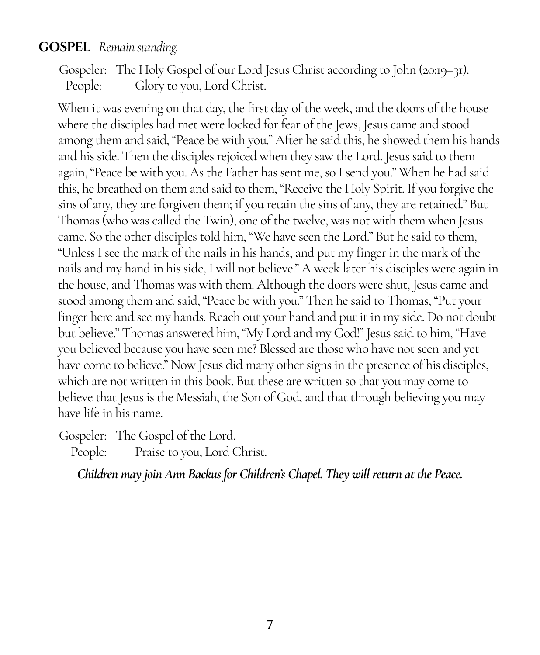#### **GOSPEL** *Remain standing.*

Gospeler: The Holy Gospel of our Lord Jesus Christ according to John (20:19–31). People: Glory to you, Lord Christ.

When it was evening on that day, the first day of the week, and the doors of the house where the disciples had met were locked for fear of the Jews, Jesus came and stood among them and said, "Peace be with you." After he said this, he showed them his hands and his side. Then the disciples rejoiced when they saw the Lord. Jesus said to them again, "Peace be with you. As the Father has sent me, so I send you." When he had said this, he breathed on them and said to them, "Receive the Holy Spirit. If you forgive the sins of any, they are forgiven them; if you retain the sins of any, they are retained." But Thomas (who was called the Twin), one of the twelve, was not with them when Jesus came. So the other disciples told him, "We have seen the Lord." But he said to them, "Unless I see the mark of the nails in his hands, and put my finger in the mark of the nails and my hand in his side, I will not believe." A week later his disciples were again in the house, and Thomas was with them. Although the doors were shut, Jesus came and stood among them and said, "Peace be with you." Then he said to Thomas, "Put your finger here and see my hands. Reach out your hand and put it in my side. Do not doubt but believe." Thomas answered him, "My Lord and my God!" Jesus said to him, "Have you believed because you have seen me? Blessed are those who have not seen and yet have come to believe." Now Jesus did many other signs in the presence of his disciples, which are not written in this book. But these are written so that you may come to believe that Jesus is the Messiah, the Son of God, and that through believing you may have life in his name.

Gospeler: The Gospel of the Lord.

People: Praise to you, Lord Christ.

*Children may join Ann Backus for Children's Chapel. They will return at the Peace.*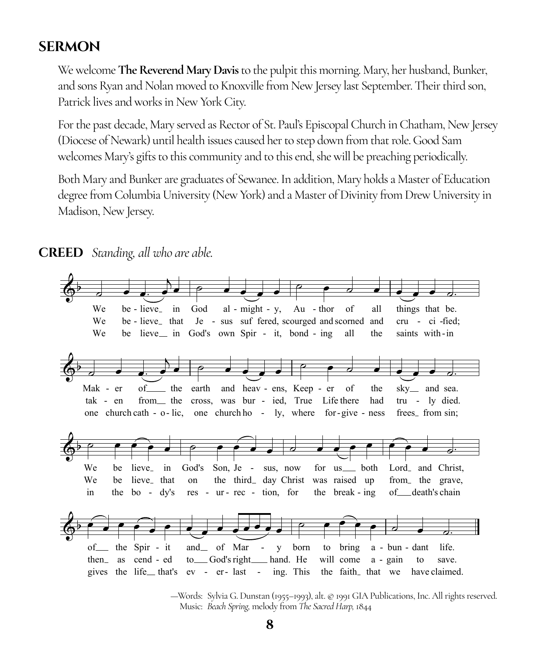#### **SERMON**

We welcome **The Reverend Mary Davis** to the pulpit this morning. Mary, her husband, Bunker, and sons Ryan and Nolan moved to Knoxville from New Jersey last September. Their third son, Patrick lives and works in New York City.

For the past decade, Mary served as Rector of St. Paul's Episcopal Church in Chatham, New Jersey (Diocese of Newark) until health issues caused her to step down from that role. Good Sam welcomes Mary's gifts to this community and to this end, she will be preaching periodically.

Both Mary and Bunker are graduates of Sewanee. In addition, Mary holds a Master of Education degree from Columbia University (New York) and a Master of Divinity from Drew University in Madison, New Jersey.



**CREED** Standing, all who are able.

-Words: Sylvia G. Dunstan (1955-1993), alt. @ 1991 GIA Publications, Inc. All rights reserved. Music: Beach Spring, melody from The Sacred Harp, 1844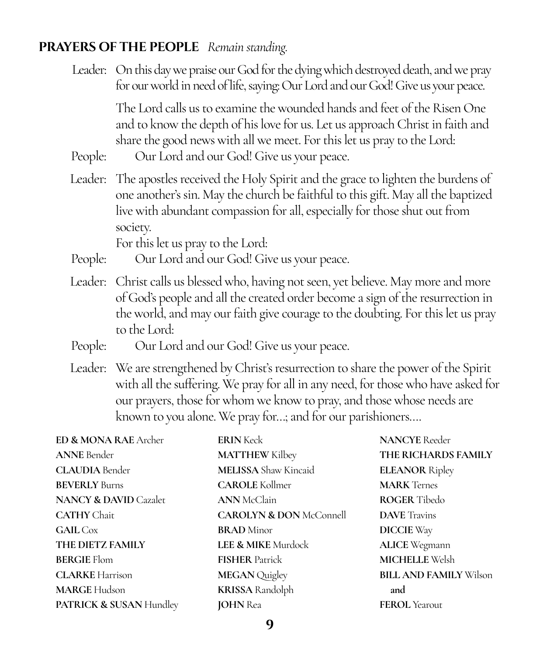#### **PRAYERS OF THE PEOPLE** *Remain standing.*

Leader: On this day we praise our God for the dying which destroyed death, and we pray for our world in need of life, saying: Our Lord and our God! Give us your peace.

> The Lord calls us to examine the wounded hands and feet of the Risen One and to know the depth of his love for us. Let us approach Christ in faith and share the good news with all we meet. For this let us pray to the Lord:

- People: Our Lord and our God! Give us your peace.
- Leader: The apostles received the Holy Spirit and the grace to lighten the burdens of one another's sin. May the church be faithful to this gift. May all the baptized live with abundant compassion for all, especially for those shut out from society.

For this let us pray to the Lord:

- People: Our Lord and our God! Give us your peace.
- Leader: Christ calls us blessed who, having not seen, yet believe. May more and more of God's people and all the created order become a sign of the resurrection in the world, and may our faith give courage to the doubting. For this let us pray to the Lord:
- People: Our Lord and our God! Give us your peace.
- Leader: We are strengthened by Christ's resurrection to share the power of the Spirit with all the suffering. We pray for all in any need, for those who have asked for our prayers, those for whom we know to pray, and those whose needs are known to you alone. We pray for…; and for our parishioners….

| ED & MONA RAE Archer             | <b>ERIN</b> Keck                   | <b>NANCYE</b> Reeder          |
|----------------------------------|------------------------------------|-------------------------------|
| <b>ANNE</b> Bender               | <b>MATTHEW Kilbey</b>              | THE RICHARDS FAMILY           |
| <b>CLAUDIA</b> Bender            | <b>MELISSA</b> Shaw Kincaid        | <b>ELEANOR Ripley</b>         |
| <b>BEVERLY</b> Burns             | <b>CAROLE</b> Kollmer              | <b>MARK</b> Ternes            |
| <b>NANCY &amp; DAVID Cazalet</b> | <b>ANN</b> McClain                 | <b>ROGER</b> Tibedo           |
| <b>CATHY</b> Chait               | <b>CAROLYN &amp; DON McConnell</b> | <b>DAVE</b> Travins           |
| <b>GAIL</b> Cox                  | <b>BRAD</b> Minor                  | <b>DICCIE</b> Way             |
| THE DIETZ FAMILY                 | LEE & MIKE Murdock                 | <b>ALICE</b> Wegmann          |
| <b>BERGIE Flom</b>               | <b>FISHER Patrick</b>              | <b>MICHELLE Welsh</b>         |
| <b>CLARKE</b> Harrison           | <b>MEGAN</b> Quigley               | <b>BILL AND FAMILY Wilson</b> |
| <b>MARGE Hudson</b>              | <b>KRISSA</b> Randolph             | and                           |
| PATRICK & SUSAN Hundley          | <b>JOHN</b> Rea                    | <b>FEROL</b> Yearout          |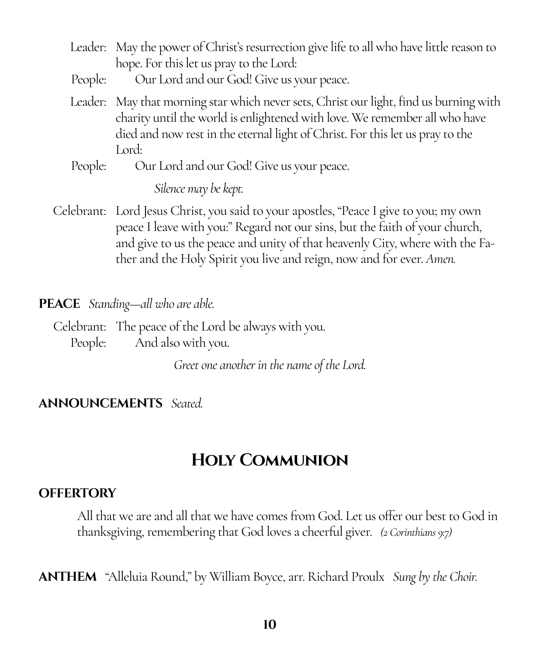- Leader: May the power of Christ's resurrection give life to all who have little reason to hope. For this let us pray to the Lord:
- People: Our Lord and our God! Give us your peace.
- Leader: May that morning star which never sets, Christ our light, find us burning with charity until the world is enlightened with love. We remember all who have died and now rest in the eternal light of Christ. For this let us pray to the Lord:
- People: Our Lord and our God! Give us your peace.

#### *Silence may be kept.*

Celebrant: Lord Jesus Christ, you said to your apostles, "Peace I give to you; my own peace I leave with you:" Regard not our sins, but the faith of your church, and give to us the peace and unity of that heavenly City, where with the Father and the Holy Spirit you live and reign, now and for ever. *Amen.*

#### **PEACE** *Standing—all who are able.*

Celebrant: The peace of the Lord be always with you. People: And also with you.

*Greet one another in the name of the Lord.*

#### **ANNOUNCEMENTS** *Seated.*

## **Holy Communion**

#### **OFFERTORY**

All that we are and all that we have comes from God. Let us offer our best to God in thanksgiving, remembering that God loves a cheerful giver. *(2 Corinthians 9:7)*

**ANTHEM**"Alleluia Round," by William Boyce, arr. Richard Proulx *Sung by the Choir.*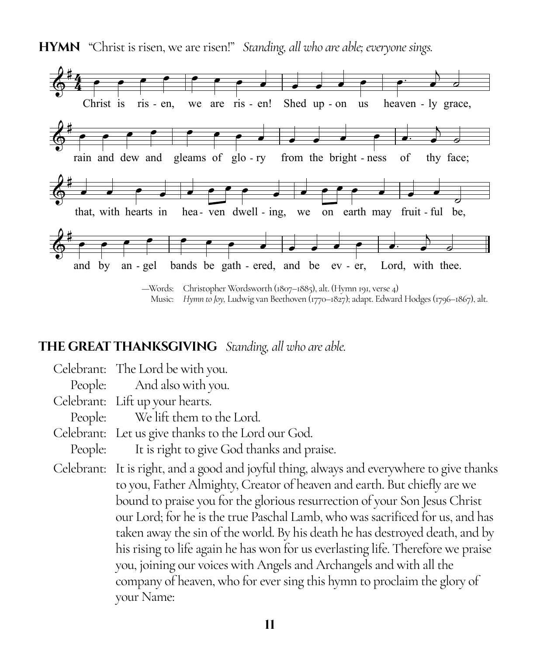

**HYMN** "Christ is risen, we are risen!" *Standing, all who are able; everyone sings.*

Music: *Hymn to Joy,* Ludwig van Beethoven (1770–1827); adapt. Edward Hodges (1796–1867), alt.

#### **THE GREAT THANKSGIVING** *Standing, all who are able.*

Celebrant: The Lord be with you. People: And also with you. Celebrant: Lift up your hearts. People: We lift them to the Lord. Celebrant: Let us give thanks to the Lord our God. People: It is right to give God thanks and praise. Celebrant: It is right, and a good and joyful thing, always and everywhere to give thanks to you, Father Almighty, Creator of heaven and earth. But chiefly are we bound to praise you for the glorious resurrection of your Son Jesus Christ our Lord; for he is the true Paschal Lamb, who was sacrificed for us, and has taken away the sin of the world. By his death he has destroyed death, and by his rising to life again he has won for us everlasting life. Therefore we praise you, joining our voices with Angels and Archangels and with all the company of heaven, who for ever sing this hymn to proclaim the glory of your Name: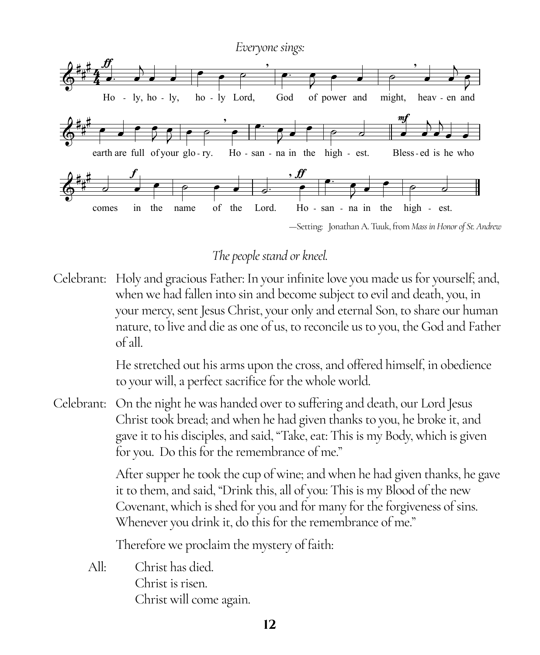

### *The people stand or kneel.*

Celebrant: Holy and gracious Father: In your infinite love you made us for yourself; and, when we had fallen into sin and become subject to evil and death, you, in your mercy, sent Jesus Christ, your only and eternal Son, to share our human nature, to live and die as one of us, to reconcile us to you, the God and Father of all.

> He stretched out his arms upon the cross, and offered himself, in obedience to your will, a perfect sacrifice for the whole world.

Celebrant: On the night he was handed over to suffering and death, our Lord Jesus Christ took bread; and when he had given thanks to you, he broke it, and gave it to his disciples, and said, "Take, eat: This is my Body, which is given for you. Do this for the remembrance of me."

> After supper he took the cup of wine; and when he had given thanks, he gave it to them, and said, "Drink this, all of you: This is my Blood of the new Covenant, which is shed for you and for many for the forgiveness of sins. Whenever you drink it, do this for the remembrance of me."

Therefore we proclaim the mystery of faith:

All: Christ has died. Christ is risen. Christ will come again.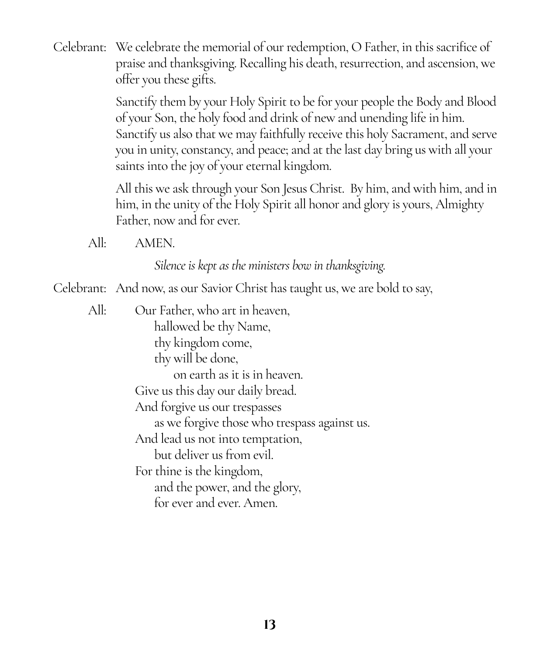Celebrant: We celebrate the memorial of our redemption, O Father, in this sacrifice of praise and thanksgiving. Recalling his death, resurrection, and ascension, we offer you these gifts.

> Sanctify them by your Holy Spirit to be for your people the Body and Blood of your Son, the holy food and drink of new and unending life in him. Sanctify us also that we may faithfully receive this holy Sacrament, and serve you in unity, constancy, and peace; and at the last day bring us with all your saints into the joy of your eternal kingdom.

> All this we ask through your Son Jesus Christ. By him, and with him, and in him, in the unity of the Holy Spirit all honor and glory is yours, Almighty Father, now and for ever.

All: AMEN.

*Silence is kept as the ministers bow in thanksgiving.*

Celebrant: And now, as our Savior Christ has taught us, we are bold to say,

All: Our Father, who art in heaven, hallowed be thy Name, thy kingdom come, thy will be done, on earth as it is in heaven. Give us this day our daily bread. And forgive us our trespasses as we forgive those who trespass against us. And lead us not into temptation, but deliver us from evil. For thine is the kingdom, and the power, and the glory, for ever and ever. Amen.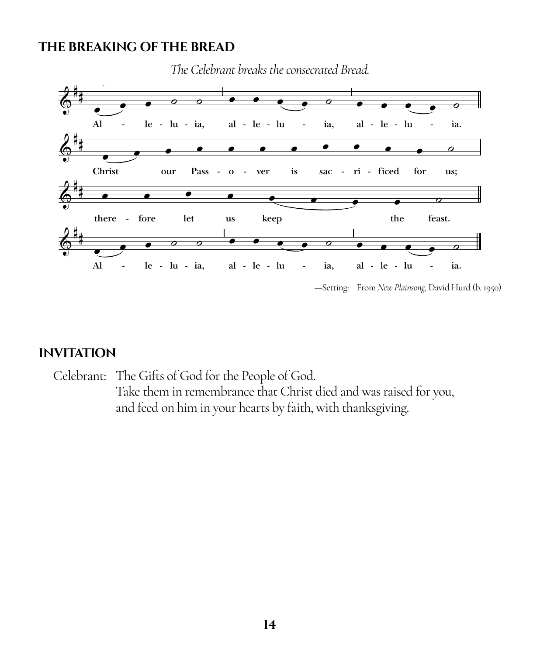#### **THE BREAKING OF THE BREAD**



*The Celebrant breaks the consecrated Bread.*

—Setting: From *New Plainsong,* David Hurd (b. 1950)

#### **INVITATION**

Celebrant: The Gifts of God for the People of God. Take them in remembrance that Christ died and was raised for you, and feed on him in your hearts by faith, with thanksgiving.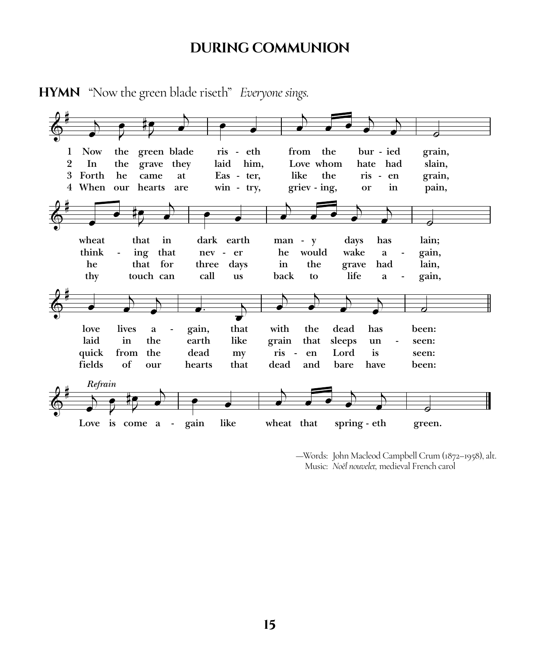#### **DURING COMMUNION**



**HYMN** "Now the green blade riseth" *Everyone sings.*

—Words: John Macleod Campbell Crum (1872–1958), alt. Music: *Noël nouvelet,* medieval French carol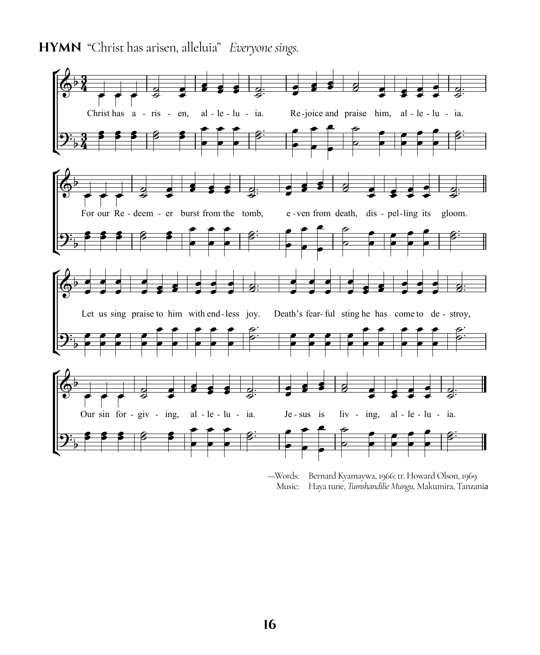



—Words: Bernard Kyamaywa, 1966; tr. Howard Olson, 1969 Music: Haya tune, *Tumshandilie Mungu,* Makumira, Tanzania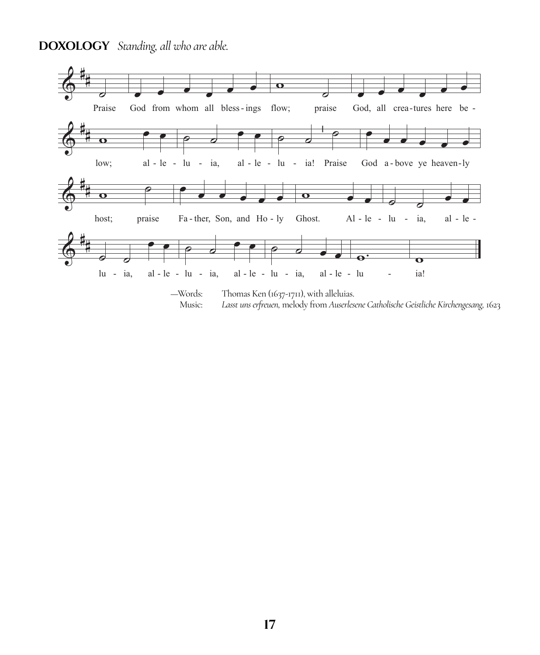#### **DOXOLOGY** Standing, all who are able.

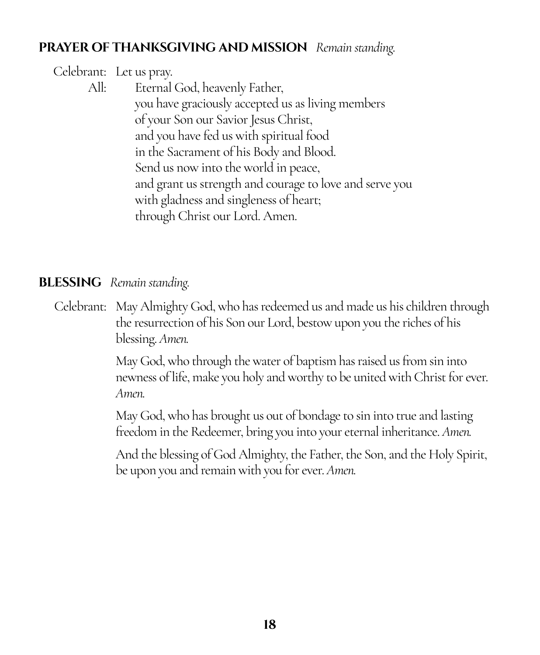#### **PRAYER OF THANKSGIVING AND MISSION** *Remain standing.*

#### Celebrant: Let us pray. All: Eternal God, heavenly Father, you have graciously accepted us as living members of your Son our Savior Jesus Christ, and you have fed us with spiritual food in the Sacrament of his Body and Blood. Send us now into the world in peace, and grant us strength and courage to love and serve you with gladness and singleness of heart; through Christ our Lord. Amen.

#### **BLESSING** *Remain standing.*

Celebrant: May Almighty God, who has redeemed us and made us his children through the resurrection of his Son our Lord, bestow upon you the riches of his blessing. *Amen.*

> May God, who through the water of baptism has raised us from sin into newness of life, make you holy and worthy to be united with Christ for ever. *Amen.*

May God, who has brought us out of bondage to sin into true and lasting freedom in the Redeemer, bring you into your eternal inheritance. *Amen.*

And the blessing of God Almighty, the Father, the Son, and the Holy Spirit, be upon you and remain with you for ever. *Amen.*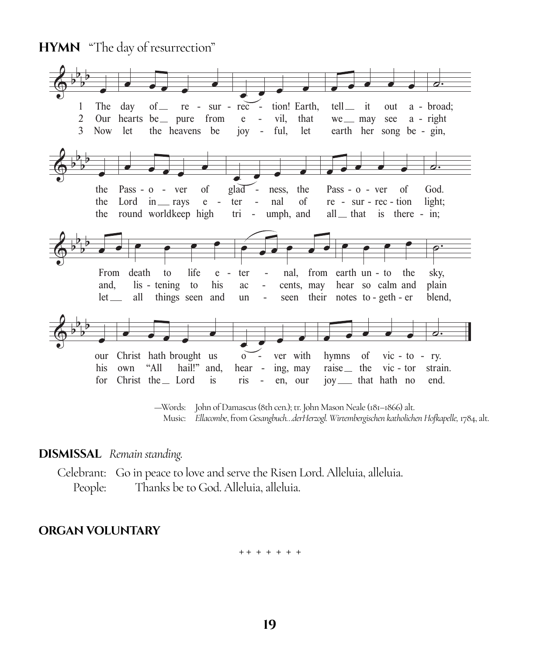**HYMN** "The day of resurrection"



—Words: John of Damascus (8th cen.); tr. John Mason Neale (181–1866) alt. Music: *Ellacombe*, from *Gesangbuch…derHerzogl. Wirtembergischen katholichen Hofkapelle,* 1784, alt.

#### **DISMISSAL** *Remain standing.*

Celebrant: Go in peace to love and serve the Risen Lord. Alleluia, alleluia. People: Thanks be to God. Alleluia, alleluia.

#### **ORGAN VOLUNTARY**

+ + + + + + +